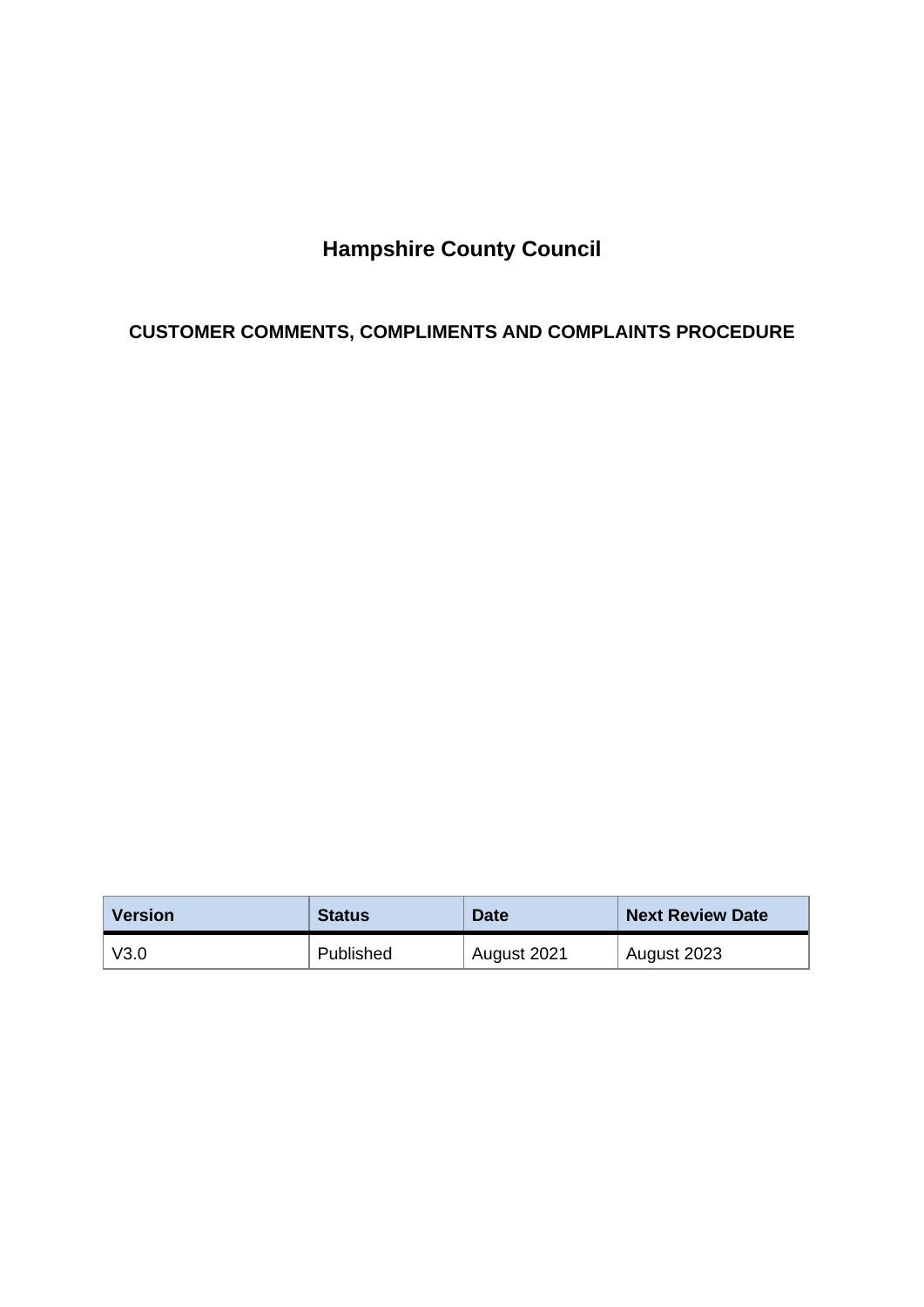# **Hampshire County Council**

# **CUSTOMER COMMENTS, COMPLIMENTS AND COMPLAINTS PROCEDURE**

| <b>Version</b> | <b>Status</b> | <b>Date</b> | <b>Next Review Date</b> |
|----------------|---------------|-------------|-------------------------|
| V3.0           | Published     | August 2021 | August 2023             |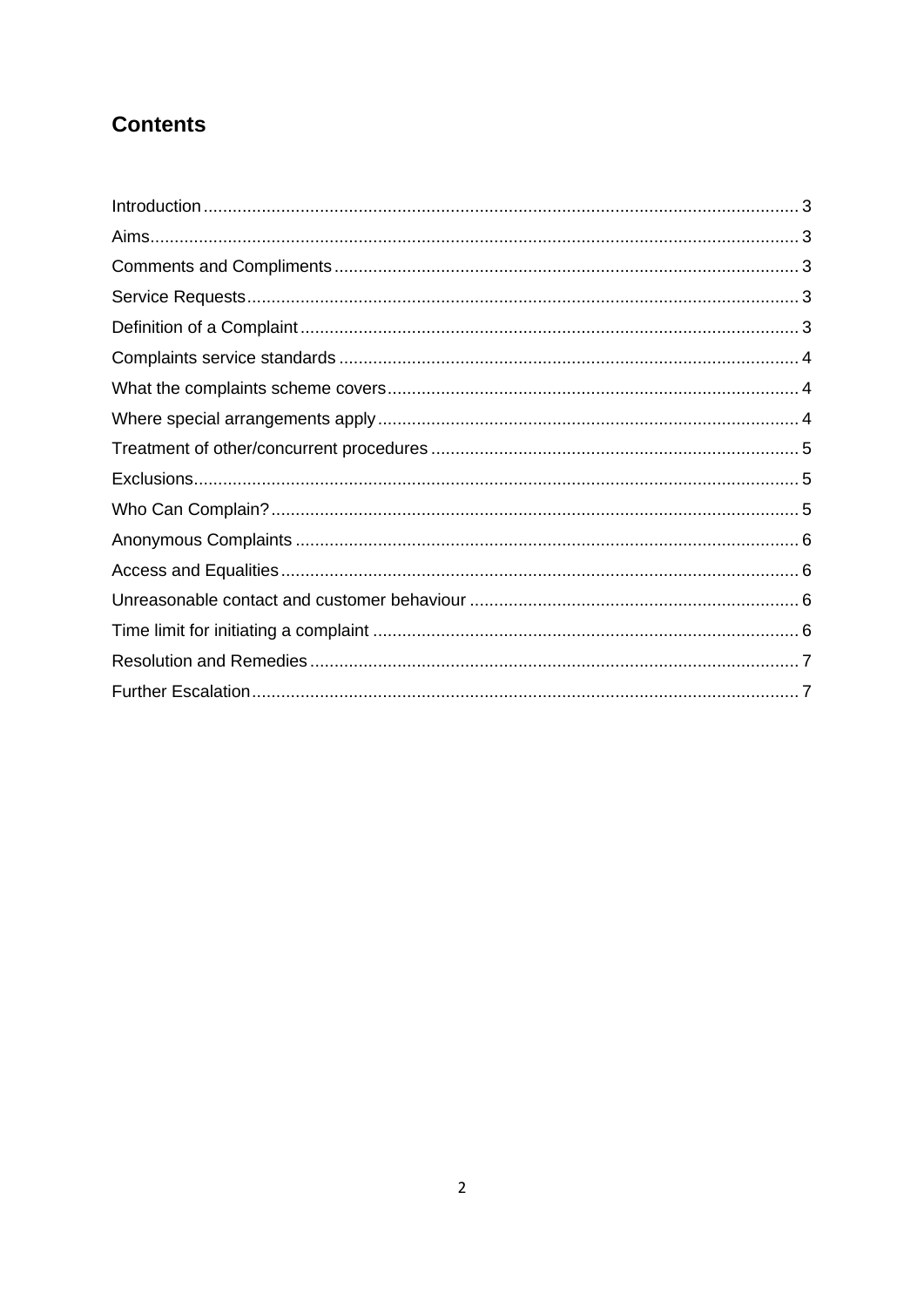# **Contents**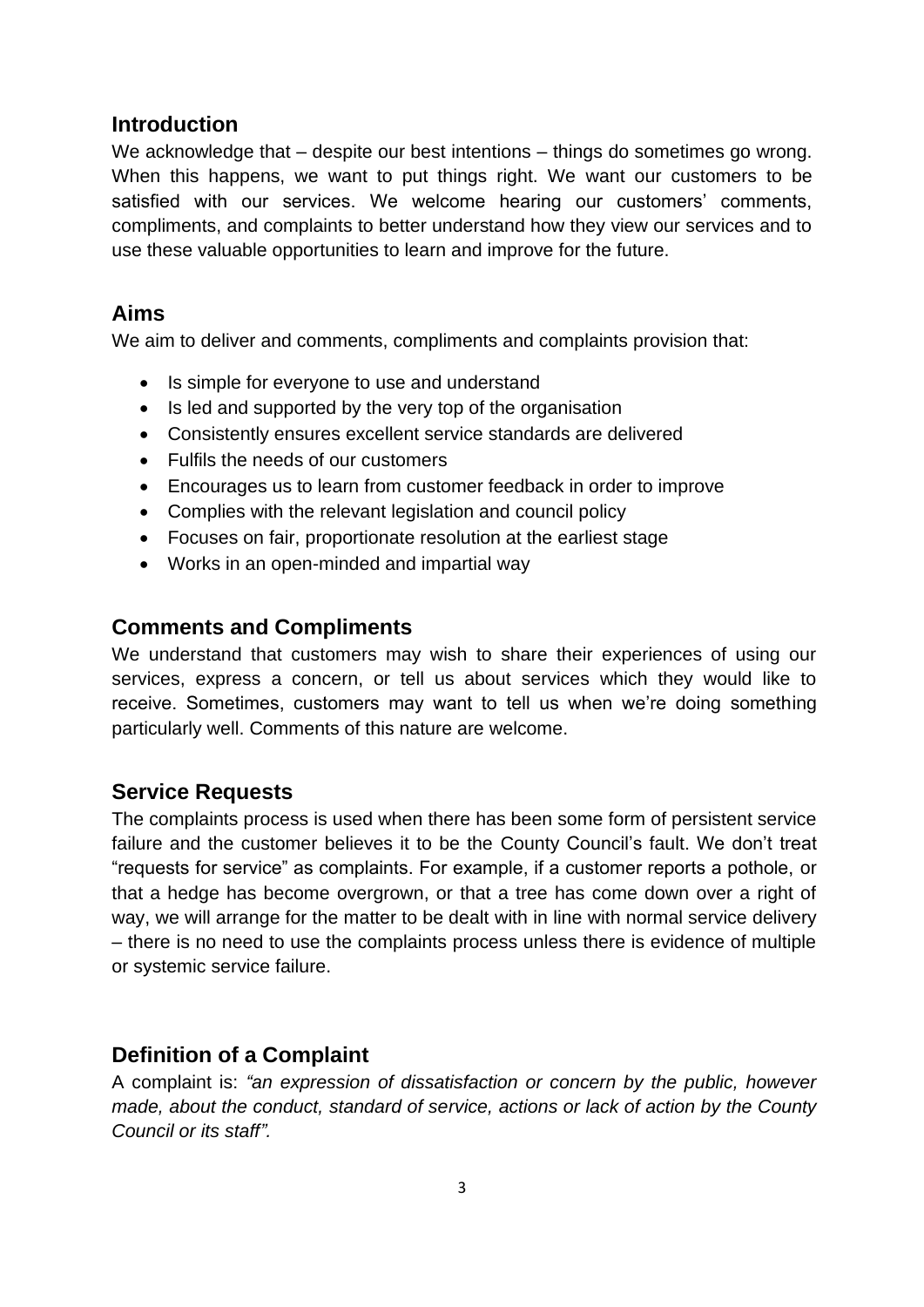#### <span id="page-2-0"></span>**Introduction**

We acknowledge that – despite our best intentions – things do sometimes go wrong. When this happens, we want to put things right. We want our customers to be satisfied with our services. We welcome hearing our customers' comments, compliments, and complaints to better understand how they view our services and to use these valuable opportunities to learn and improve for the future.

### <span id="page-2-1"></span>**Aims**

We aim to deliver and comments, compliments and complaints provision that:

- Is simple for everyone to use and understand
- Is led and supported by the very top of the organisation
- Consistently ensures excellent service standards are delivered
- Fulfils the needs of our customers
- Encourages us to learn from customer feedback in order to improve
- Complies with the relevant legislation and council policy
- Focuses on fair, proportionate resolution at the earliest stage
- Works in an open-minded and impartial way

### <span id="page-2-2"></span>**Comments and Compliments**

We understand that customers may wish to share their experiences of using our services, express a concern, or tell us about services which they would like to receive. Sometimes, customers may want to tell us when we're doing something particularly well. Comments of this nature are welcome.

### <span id="page-2-3"></span>**Service Requests**

The complaints process is used when there has been some form of persistent service failure and the customer believes it to be the County Council's fault. We don't treat "requests for service" as complaints. For example, if a customer reports a pothole, or that a hedge has become overgrown, or that a tree has come down over a right of way, we will arrange for the matter to be dealt with in line with normal service delivery – there is no need to use the complaints process unless there is evidence of multiple or systemic service failure.

### <span id="page-2-4"></span>**Definition of a Complaint**

A complaint is: *"an expression of dissatisfaction or concern by the public, however made, about the conduct, standard of service, actions or lack of action by the County Council or its staff".*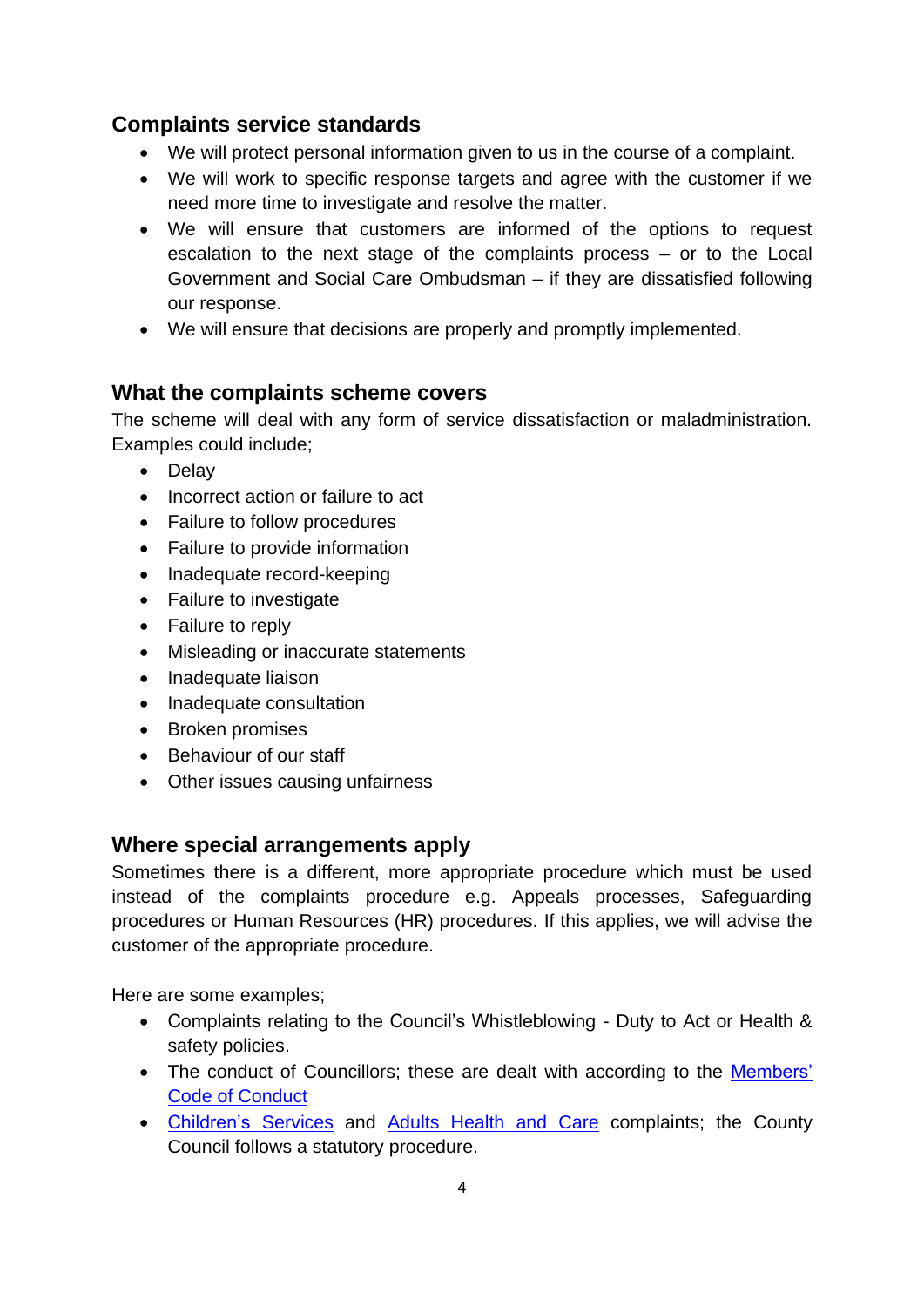# <span id="page-3-0"></span>**Complaints service standards**

- We will protect personal information given to us in the course of a complaint.
- We will work to specific response targets and agree with the customer if we need more time to investigate and resolve the matter.
- We will ensure that customers are informed of the options to request escalation to the next stage of the complaints process – or to the Local Government and Social Care Ombudsman – if they are dissatisfied following our response.
- We will ensure that decisions are properly and promptly implemented.

#### <span id="page-3-1"></span>**What the complaints scheme covers**

The scheme will deal with any form of service dissatisfaction or maladministration. Examples could include;

- Delay
- Incorrect action or failure to act
- Failure to follow procedures
- Failure to provide information
- Inadequate record-keeping
- Failure to investigate
- Failure to reply
- Misleading or inaccurate statements
- Inadequate liaison
- Inadequate consultation
- Broken promises
- Behaviour of our staff
- Other issues causing unfairness

#### <span id="page-3-2"></span>**Where special arrangements apply**

Sometimes there is a different, more appropriate procedure which must be used instead of the complaints procedure e.g. Appeals processes, Safeguarding procedures or Human Resources (HR) procedures. If this applies, we will advise the customer of the appropriate procedure.

Here are some examples;

- Complaints relating to the Council's Whistleblowing Duty to Act or Health & safety policies.
- The conduct of Councillors; these are dealt with according to the Members' [Code of Conduct](http://documents.hants.gov.uk/constitution/AppendixA-CodeofConductforMembers.pdf)
- [Children's Services](https://www.hants.gov.uk/educationandlearning/complaints) and [Adults Health and](http://www3.hants.gov.uk/as-complaints.htm) Care complaints; the County Council follows a statutory procedure.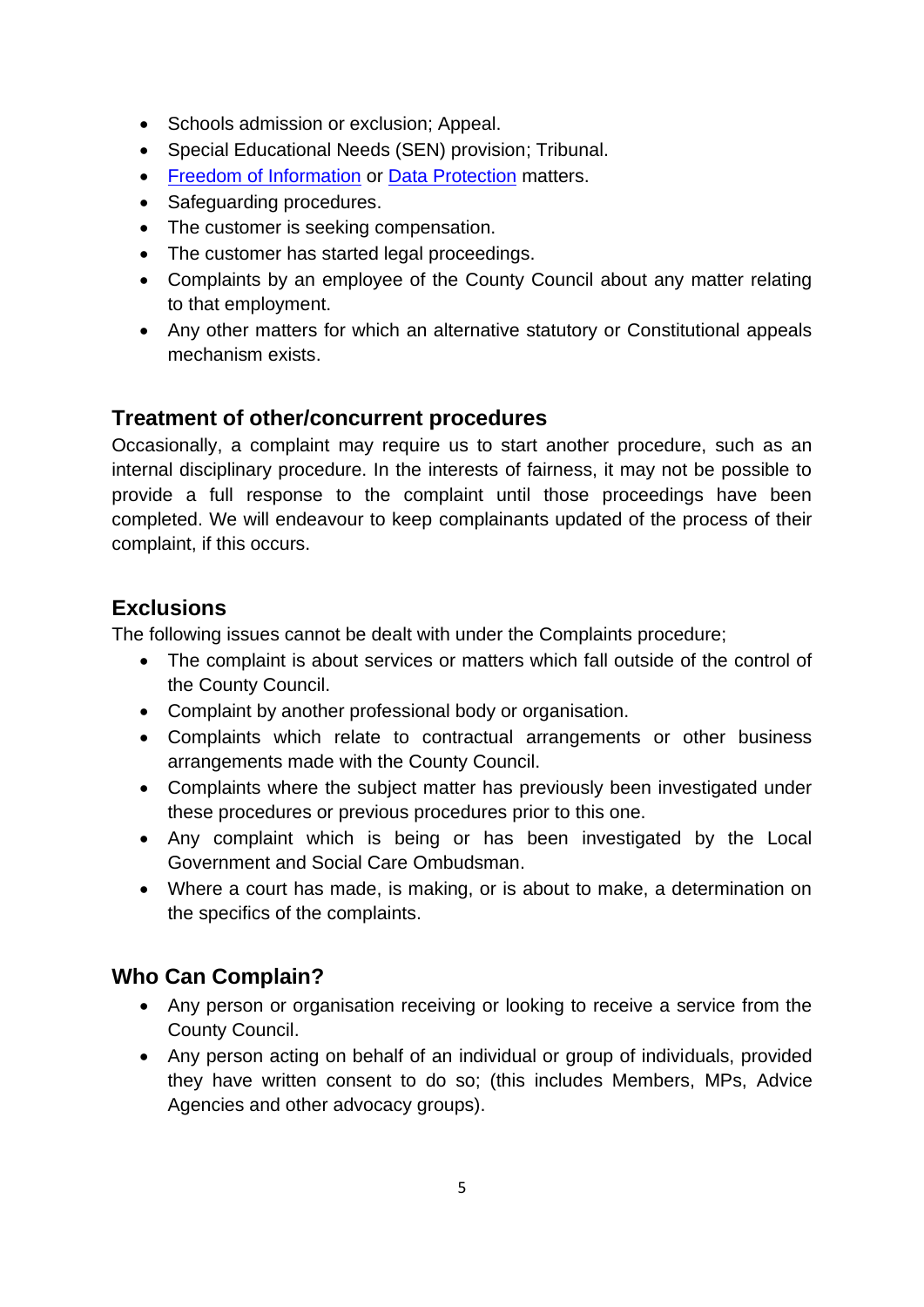- Schools admission or exclusion; Appeal.
- Special Educational Needs (SEN) provision; Tribunal.
- [Freedom of Information](https://www.hants.gov.uk/aboutthecouncil/informationandstats/freedomofinformation) or [Data Protection](https://www.hants.gov.uk/aboutthecouncil/strategiesplansandpolicies/dataprotection) matters.
- Safeguarding procedures.
- The customer is seeking compensation.
- The customer has started legal proceedings.
- Complaints by an employee of the County Council about any matter relating to that employment.
- Any other matters for which an alternative statutory or Constitutional appeals mechanism exists.

# <span id="page-4-0"></span>**Treatment of other/concurrent procedures**

Occasionally, a complaint may require us to start another procedure, such as an internal disciplinary procedure. In the interests of fairness, it may not be possible to provide a full response to the complaint until those proceedings have been completed. We will endeavour to keep complainants updated of the process of their complaint, if this occurs.

## <span id="page-4-1"></span>**Exclusions**

The following issues cannot be dealt with under the Complaints procedure;

- The complaint is about services or matters which fall outside of the control of the County Council.
- Complaint by another professional body or organisation.
- Complaints which relate to contractual arrangements or other business arrangements made with the County Council.
- Complaints where the subject matter has previously been investigated under these procedures or previous procedures prior to this one.
- Any complaint which is being or has been investigated by the Local Government and Social Care Ombudsman.
- Where a court has made, is making, or is about to make, a determination on the specifics of the complaints.

# <span id="page-4-2"></span>**Who Can Complain?**

- Any person or organisation receiving or looking to receive a service from the County Council.
- Any person acting on behalf of an individual or group of individuals, provided they have written consent to do so; (this includes Members, MPs, Advice Agencies and other advocacy groups).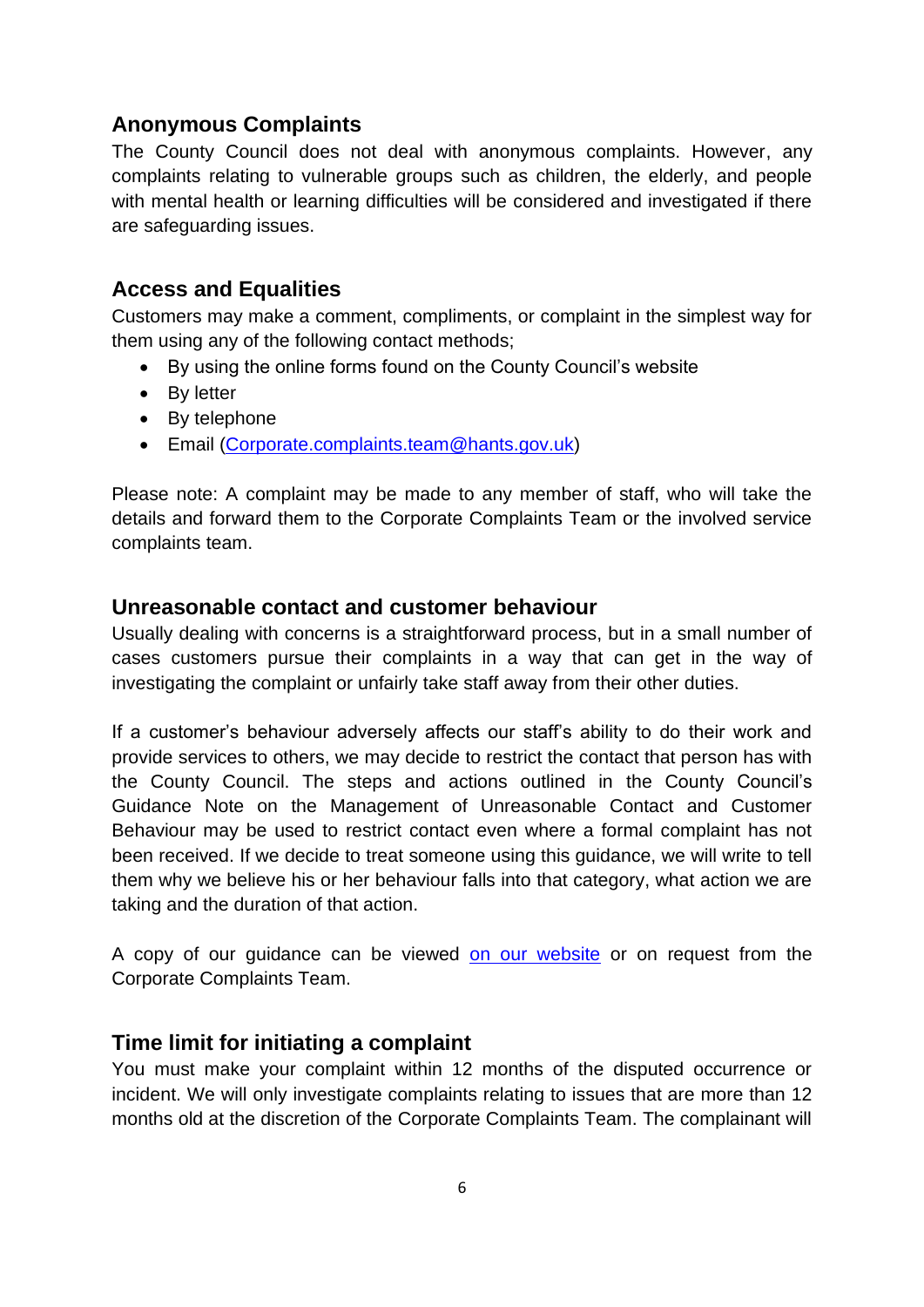# <span id="page-5-0"></span>**Anonymous Complaints**

The County Council does not deal with anonymous complaints. However, any complaints relating to vulnerable groups such as children, the elderly, and people with mental health or learning difficulties will be considered and investigated if there are safeguarding issues.

## <span id="page-5-1"></span>**Access and Equalities**

Customers may make a comment, compliments, or complaint in the simplest way for them using any of the following contact methods;

- By using the online forms found on the County Council's website
- By letter
- By telephone
- Email [\(Corporate.complaints.team@hants.gov.uk\)](mailto:Corporate.complaints.team@hants.gov.uk)

Please note: A complaint may be made to any member of staff, who will take the details and forward them to the Corporate Complaints Team or the involved service complaints team.

## <span id="page-5-2"></span>**Unreasonable contact and customer behaviour**

Usually dealing with concerns is a straightforward process, but in a small number of cases customers pursue their complaints in a way that can get in the way of investigating the complaint or unfairly take staff away from their other duties.

If a customer's behaviour adversely affects our staff's ability to do their work and provide services to others, we may decide to restrict the contact that person has with the County Council. The steps and actions outlined in the County Council's Guidance Note on the Management of Unreasonable Contact and Customer Behaviour may be used to restrict contact even where a formal complaint has not been received. If we decide to treat someone using this guidance, we will write to tell them why we believe his or her behaviour falls into that category, what action we are taking and the duration of that action.

A copy of our guidance can be viewed [on our website](http://documents.hants.gov.uk/corporate/Guidancenoteonthemanagementofunreasonablecustomerbehaviour-September2017.doc) or on request from the Corporate Complaints Team.

### <span id="page-5-3"></span>**Time limit for initiating a complaint**

You must make your complaint within 12 months of the disputed occurrence or incident. We will only investigate complaints relating to issues that are more than 12 months old at the discretion of the Corporate Complaints Team. The complainant will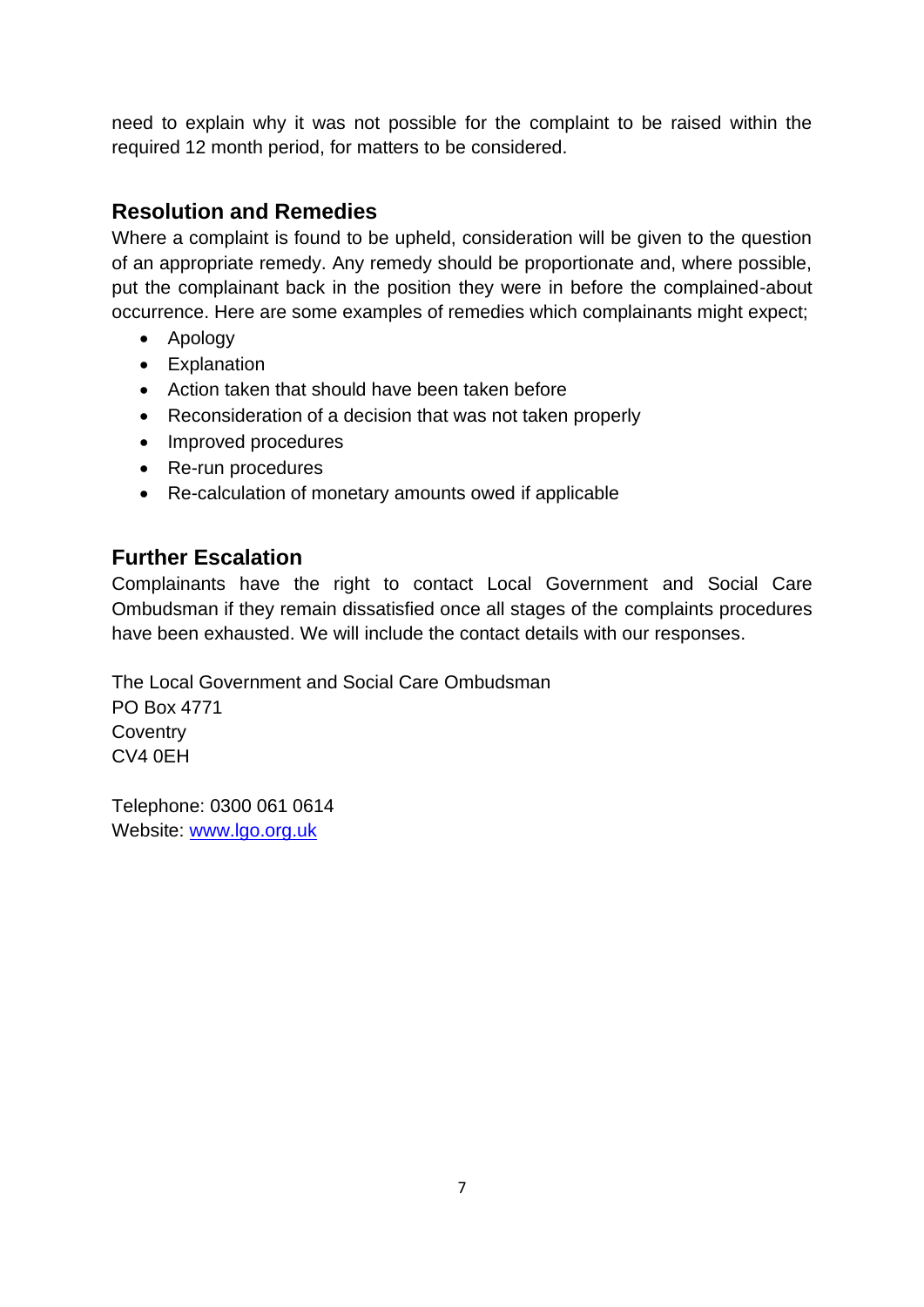need to explain why it was not possible for the complaint to be raised within the required 12 month period, for matters to be considered.

# <span id="page-6-0"></span>**Resolution and Remedies**

Where a complaint is found to be upheld, consideration will be given to the question of an appropriate remedy. Any remedy should be proportionate and, where possible, put the complainant back in the position they were in before the complained-about occurrence. Here are some examples of remedies which complainants might expect;

- Apology
- Explanation
- Action taken that should have been taken before
- Reconsideration of a decision that was not taken properly
- Improved procedures
- Re-run procedures
- Re-calculation of monetary amounts owed if applicable

# <span id="page-6-1"></span>**Further Escalation**

Complainants have the right to contact Local Government and Social Care Ombudsman if they remain dissatisfied once all stages of the complaints procedures have been exhausted. We will include the contact details with our responses.

The Local Government and Social Care Ombudsman PO Box 4771 **Coventry** CV4 0EH

Telephone: 0300 061 0614 Website: [www.lgo.org.uk](http://www.lgo.org.uk/)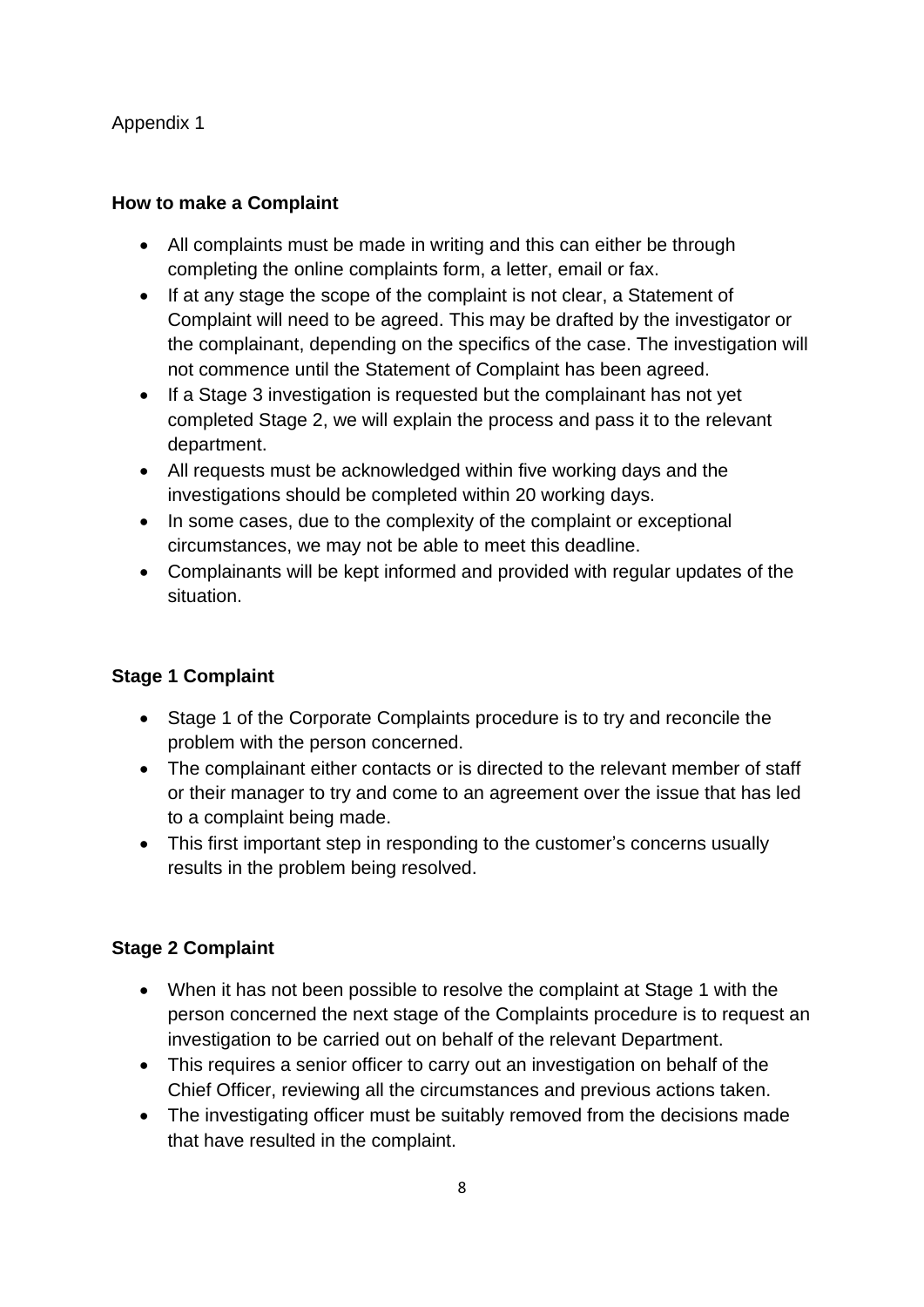#### Appendix 1

#### **How to make a Complaint**

- All complaints must be made in writing and this can either be through completing the online complaints form, a letter, email or fax.
- If at any stage the scope of the complaint is not clear, a Statement of Complaint will need to be agreed. This may be drafted by the investigator or the complainant, depending on the specifics of the case. The investigation will not commence until the Statement of Complaint has been agreed.
- If a Stage 3 investigation is requested but the complainant has not yet completed Stage 2, we will explain the process and pass it to the relevant department.
- All requests must be acknowledged within five working days and the investigations should be completed within 20 working days.
- In some cases, due to the complexity of the complaint or exceptional circumstances, we may not be able to meet this deadline.
- Complainants will be kept informed and provided with regular updates of the situation.

#### **Stage 1 Complaint**

- Stage 1 of the Corporate Complaints procedure is to try and reconcile the problem with the person concerned.
- The complainant either contacts or is directed to the relevant member of staff or their manager to try and come to an agreement over the issue that has led to a complaint being made.
- This first important step in responding to the customer's concerns usually results in the problem being resolved.

#### **Stage 2 Complaint**

- When it has not been possible to resolve the complaint at Stage 1 with the person concerned the next stage of the Complaints procedure is to request an investigation to be carried out on behalf of the relevant Department.
- This requires a senior officer to carry out an investigation on behalf of the Chief Officer, reviewing all the circumstances and previous actions taken.
- The investigating officer must be suitably removed from the decisions made that have resulted in the complaint.